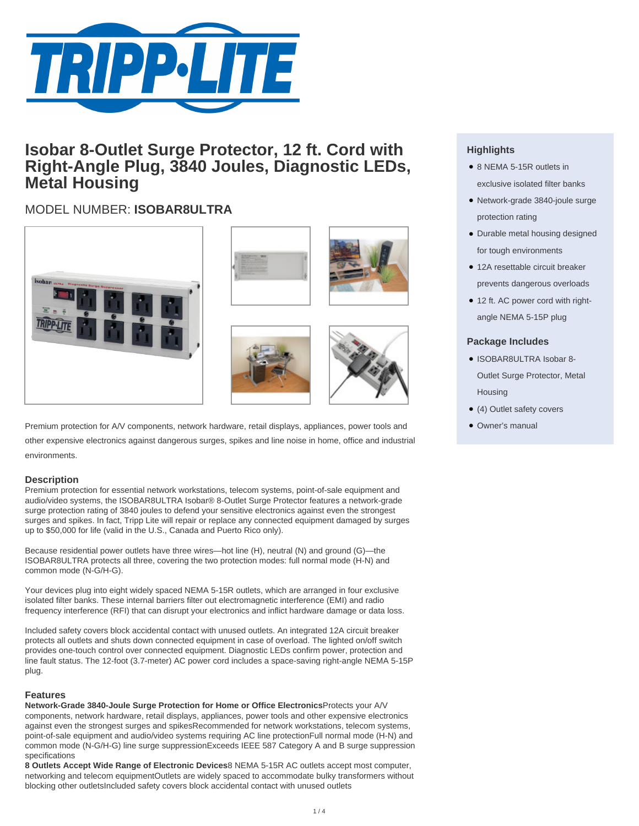

## **Isobar 8-Outlet Surge Protector, 12 ft. Cord with Right-Angle Plug, 3840 Joules, Diagnostic LEDs, Metal Housing**

## MODEL NUMBER: **ISOBAR8ULTRA**



Premium protection for A/V components, network hardware, retail displays, appliances, power tools and other expensive electronics against dangerous surges, spikes and line noise in home, office and industrial environments.

#### **Description**

Premium protection for essential network workstations, telecom systems, point-of-sale equipment and audio/video systems, the ISOBAR8ULTRA Isobar® 8-Outlet Surge Protector features a network-grade surge protection rating of 3840 joules to defend your sensitive electronics against even the strongest surges and spikes. In fact, Tripp Lite will repair or replace any connected equipment damaged by surges up to \$50,000 for life (valid in the U.S., Canada and Puerto Rico only).

Because residential power outlets have three wires—hot line (H), neutral (N) and ground (G)—the ISOBAR8ULTRA protects all three, covering the two protection modes: full normal mode (H-N) and common mode (N-G/H-G).

Your devices plug into eight widely spaced NEMA 5-15R outlets, which are arranged in four exclusive isolated filter banks. These internal barriers filter out electromagnetic interference (EMI) and radio frequency interference (RFI) that can disrupt your electronics and inflict hardware damage or data loss.

Included safety covers block accidental contact with unused outlets. An integrated 12A circuit breaker protects all outlets and shuts down connected equipment in case of overload. The lighted on/off switch provides one-touch control over connected equipment. Diagnostic LEDs confirm power, protection and line fault status. The 12-foot (3.7-meter) AC power cord includes a space-saving right-angle NEMA 5-15P plug.

#### **Features**

**Network-Grade 3840-Joule Surge Protection for Home or Office Electronics**Protects your A/V components, network hardware, retail displays, appliances, power tools and other expensive electronics against even the strongest surges and spikesRecommended for network workstations, telecom systems, point-of-sale equipment and audio/video systems requiring AC line protectionFull normal mode (H-N) and common mode (N-G/H-G) line surge suppressionExceeds IEEE 587 Category A and B surge suppression specifications

**8 Outlets Accept Wide Range of Electronic Devices**8 NEMA 5-15R AC outlets accept most computer, networking and telecom equipmentOutlets are widely spaced to accommodate bulky transformers without blocking other outletsIncluded safety covers block accidental contact with unused outlets

### **Highlights**

- 8 NEMA 5-15R outlets in exclusive isolated filter banks
- Network-grade 3840-joule surge protection rating
- Durable metal housing designed for tough environments
- 12A resettable circuit breaker prevents dangerous overloads
- 12 ft. AC power cord with rightangle NEMA 5-15P plug

#### **Package Includes**

- ISOBAR8ULTRA Isobar 8-Outlet Surge Protector, Metal Housing
- (4) Outlet safety covers
- Owner's manual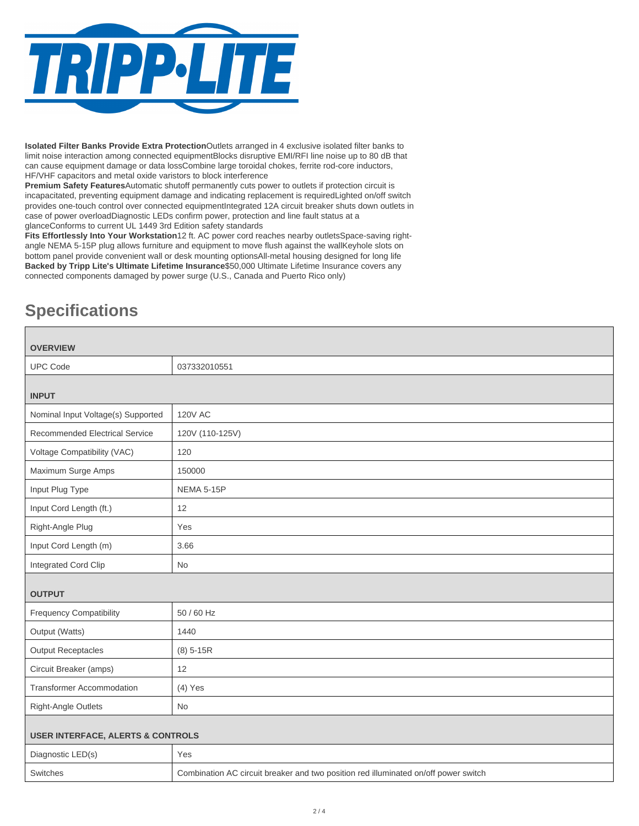

**Isolated Filter Banks Provide Extra Protection**Outlets arranged in 4 exclusive isolated filter banks to limit noise interaction among connected equipmentBlocks disruptive EMI/RFI line noise up to 80 dB that can cause equipment damage or data lossCombine large toroidal chokes, ferrite rod-core inductors, HF/VHF capacitors and metal oxide varistors to block interference

**Premium Safety Features**Automatic shutoff permanently cuts power to outlets if protection circuit is incapacitated, preventing equipment damage and indicating replacement is requiredLighted on/off switch provides one-touch control over connected equipmentIntegrated 12A circuit breaker shuts down outlets in case of power overloadDiagnostic LEDs confirm power, protection and line fault status at a glanceConforms to current UL 1449 3rd Edition safety standards

**Fits Effortlessly Into Your Workstation**12 ft. AC power cord reaches nearby outletsSpace-saving rightangle NEMA 5-15P plug allows furniture and equipment to move flush against the wallKeyhole slots on bottom panel provide convenient wall or desk mounting optionsAll-metal housing designed for long life **Backed by Tripp Lite's Ultimate Lifetime Insurance**\$50,000 Ultimate Lifetime Insurance covers any connected components damaged by power surge (U.S., Canada and Puerto Rico only)

# **Specifications**

| <b>OVERVIEW</b>                              |                                                                                     |  |
|----------------------------------------------|-------------------------------------------------------------------------------------|--|
| <b>UPC Code</b>                              | 037332010551                                                                        |  |
| <b>INPUT</b>                                 |                                                                                     |  |
| Nominal Input Voltage(s) Supported           | <b>120V AC</b>                                                                      |  |
| Recommended Electrical Service               | 120V (110-125V)                                                                     |  |
| Voltage Compatibility (VAC)                  | 120                                                                                 |  |
| Maximum Surge Amps                           | 150000                                                                              |  |
| Input Plug Type                              | <b>NEMA 5-15P</b>                                                                   |  |
| Input Cord Length (ft.)                      | 12                                                                                  |  |
| Right-Angle Plug                             | Yes                                                                                 |  |
| Input Cord Length (m)                        | 3.66                                                                                |  |
| Integrated Cord Clip                         | <b>No</b>                                                                           |  |
| <b>OUTPUT</b>                                |                                                                                     |  |
| <b>Frequency Compatibility</b>               | 50 / 60 Hz                                                                          |  |
| Output (Watts)                               | 1440                                                                                |  |
| <b>Output Receptacles</b>                    | $(8) 5 - 15R$                                                                       |  |
| Circuit Breaker (amps)                       | 12                                                                                  |  |
| <b>Transformer Accommodation</b>             | $(4)$ Yes                                                                           |  |
| Right-Angle Outlets                          | <b>No</b>                                                                           |  |
| <b>USER INTERFACE, ALERTS &amp; CONTROLS</b> |                                                                                     |  |
| Diagnostic LED(s)                            | Yes                                                                                 |  |
| Switches                                     | Combination AC circuit breaker and two position red illuminated on/off power switch |  |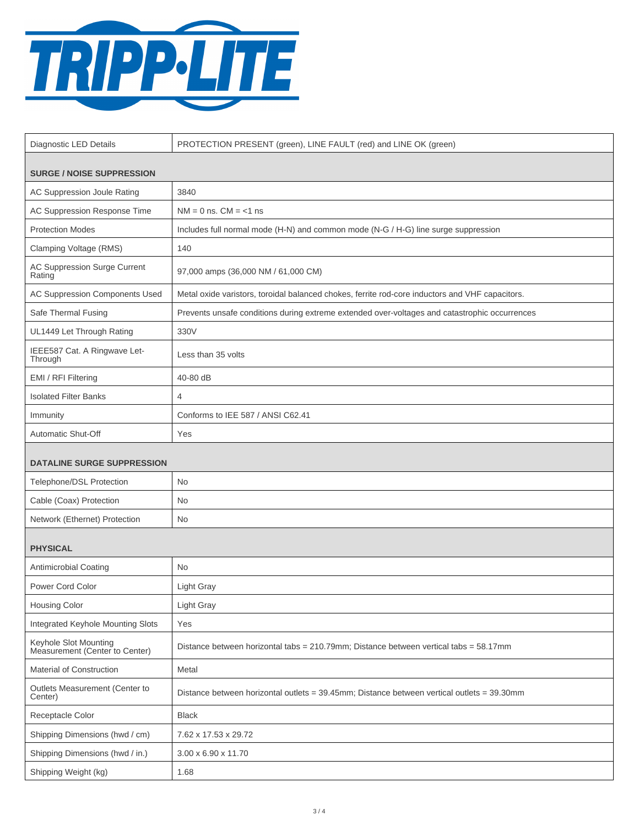

| Diagnostic LED Details                                  | PROTECTION PRESENT (green), LINE FAULT (red) and LINE OK (green)                                |  |
|---------------------------------------------------------|-------------------------------------------------------------------------------------------------|--|
| <b>SURGE / NOISE SUPPRESSION</b>                        |                                                                                                 |  |
| AC Suppression Joule Rating                             | 3840                                                                                            |  |
| AC Suppression Response Time                            | $NM = 0$ ns. $CM = <1$ ns                                                                       |  |
| <b>Protection Modes</b>                                 | Includes full normal mode (H-N) and common mode (N-G / H-G) line surge suppression              |  |
| Clamping Voltage (RMS)                                  | 140                                                                                             |  |
| AC Suppression Surge Current<br>Rating                  | 97,000 amps (36,000 NM / 61,000 CM)                                                             |  |
| AC Suppression Components Used                          | Metal oxide varistors, toroidal balanced chokes, ferrite rod-core inductors and VHF capacitors. |  |
| Safe Thermal Fusing                                     | Prevents unsafe conditions during extreme extended over-voltages and catastrophic occurrences   |  |
| UL1449 Let Through Rating                               | 330V                                                                                            |  |
| IEEE587 Cat. A Ringwave Let-<br>Through                 | Less than 35 volts                                                                              |  |
| EMI / RFI Filtering                                     | 40-80 dB                                                                                        |  |
| <b>Isolated Filter Banks</b>                            | $\overline{4}$                                                                                  |  |
| Immunity                                                | Conforms to IEE 587 / ANSI C62.41                                                               |  |
| Automatic Shut-Off                                      | Yes                                                                                             |  |
| <b>DATALINE SURGE SUPPRESSION</b>                       |                                                                                                 |  |
| Telephone/DSL Protection                                | No                                                                                              |  |
| Cable (Coax) Protection                                 | No                                                                                              |  |
| Network (Ethernet) Protection                           | No                                                                                              |  |
| <b>PHYSICAL</b>                                         |                                                                                                 |  |
| Antimicrobial Coating                                   | <b>No</b>                                                                                       |  |
| Power Cord Color                                        | <b>Light Gray</b>                                                                               |  |
| <b>Housing Color</b>                                    | Light Gray                                                                                      |  |
| Integrated Keyhole Mounting Slots                       | Yes                                                                                             |  |
| Keyhole Slot Mounting<br>Measurement (Center to Center) | Distance between horizontal tabs = 210.79mm; Distance between vertical tabs = 58.17mm           |  |
| Material of Construction                                | Metal                                                                                           |  |
| Outlets Measurement (Center to<br>Center)               | Distance between horizontal outlets = 39.45mm; Distance between vertical outlets = 39.30mm      |  |
| Receptacle Color                                        | <b>Black</b>                                                                                    |  |
| Shipping Dimensions (hwd / cm)                          | 7.62 x 17.53 x 29.72                                                                            |  |
| Shipping Dimensions (hwd / in.)                         | 3.00 x 6.90 x 11.70                                                                             |  |
| Shipping Weight (kg)                                    | 1.68                                                                                            |  |